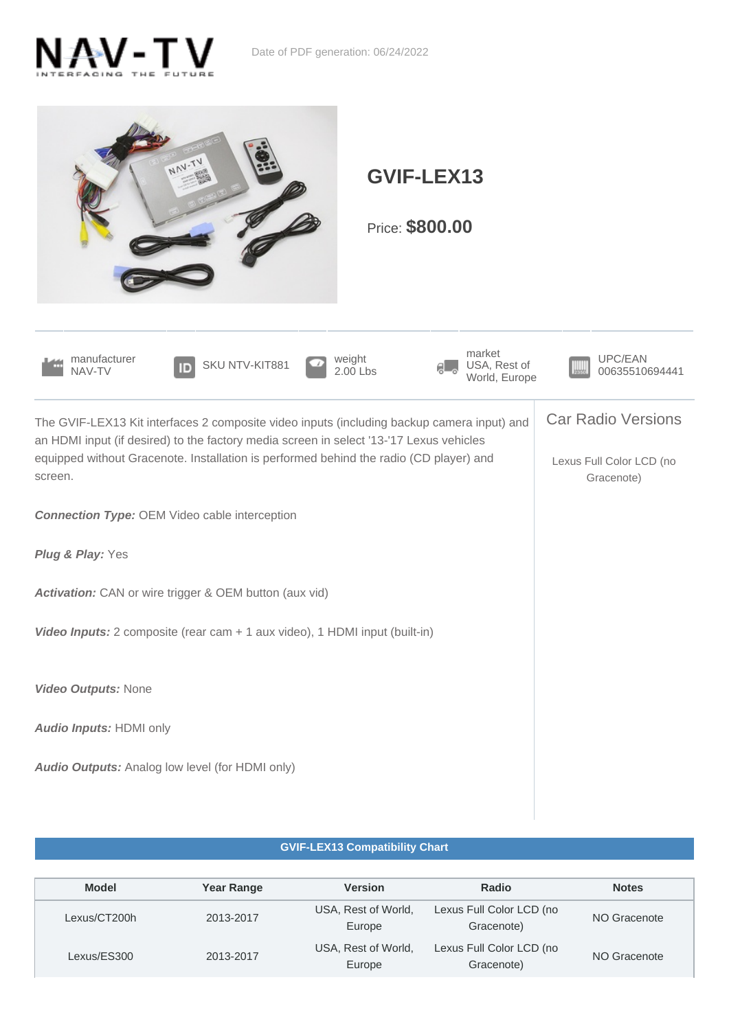



## **GVIF-LEX13 Compatibility Chart**

| <b>Model</b> | <b>Year Range</b> | <b>Version</b>                | Radio                                  | <b>Notes</b> |
|--------------|-------------------|-------------------------------|----------------------------------------|--------------|
| Lexus/CT200h | 2013-2017         | USA, Rest of World,<br>Europe | Lexus Full Color LCD (no<br>Gracenote) | NO Gracenote |
| Lexus/ES300  | 2013-2017         | USA, Rest of World,<br>Europe | Lexus Full Color LCD (no<br>Gracenote) | NO Gracenote |